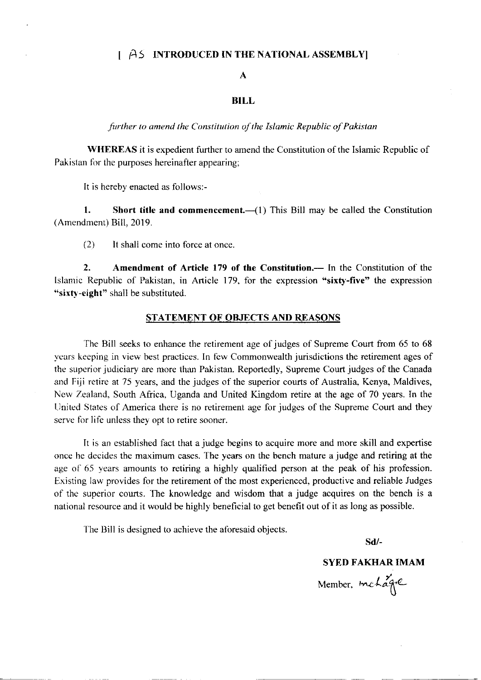## I A5 INTRODUCED IN THE NATIONAL ASSEMBLYI

### A

#### BILL

further to amend the Constitution of the Islamic Republic of Pakistan

WHEREAS it is expedient further to amend the Constitution of the Islamic Republic of Pakistan for the purposes hereinafter appearing;

It is hereby enacted as follows:-

1. Short title and commencement. $-(1)$  This Bill may be called the Constitution (Amendment) Bill, 2019.

(2) It shall come into force at once

2. Amendment of Article 179 of the Constitution.- In the Constitution of the Islamic Republic of Pakistan, in Article 179, for the expression "sixty-five" the expression "sixty-eight" shall be substituted.

#### STATEMENT OF OBJECTS AND REASONS

The Bill seeks to enhance the retirement age of judges of Supreme Court from 65 to 68 years keeping in view best practices. In few Commonwealth jurisdictions the retirement ages of the superior judiciary are more than Pakistan. Reportedly, Supreme Court judges of the Canada and Fiji retire at 75 years, and the judges of the superior courts of Australia, Kenya, Maldives, New Zealand, South Africa, Uganda and United Kingdom retire at the age of 70 years. In the United States of America there is no retirement age for judges of the Supreme Court and they serve for life unless they opt to retire sooner.

It is an established fact that a judge begins to acquire more and more skill and expertise once he decides the maximum cases. The years on the bench mature a judge and retiring at the age of 65 years amounts to retiring a highly qualified person at the peak of his profession. Existing law provides for the retirement of the most experienced, productive and reliable Judges of the superior courts. The knowledge and wisdom that a judge acquires on the bench is a national resource and it would be highly beneficial to get benefit out of it as long as possible.

The Bill is designed to achieve the aforesaid objects.

sd/-

## SYED FAKHARIMAM

Member,  $m$ chagre  $\mathsf{O}$